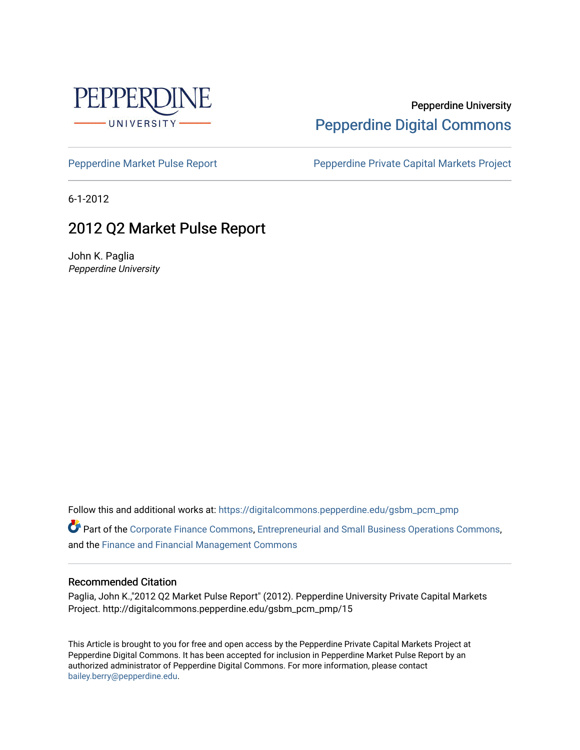

# Pepperdine University [Pepperdine Digital Commons](https://digitalcommons.pepperdine.edu/)

[Pepperdine Market Pulse Report](https://digitalcommons.pepperdine.edu/gsbm_pcm_pmp) Pepperdine Private Capital Markets Project

6-1-2012

# 2012 Q2 Market Pulse Report

John K. Paglia Pepperdine University

Follow this and additional works at: [https://digitalcommons.pepperdine.edu/gsbm\\_pcm\\_pmp](https://digitalcommons.pepperdine.edu/gsbm_pcm_pmp?utm_source=digitalcommons.pepperdine.edu%2Fgsbm_pcm_pmp%2F15&utm_medium=PDF&utm_campaign=PDFCoverPages) 

Part of the [Corporate Finance Commons](http://network.bepress.com/hgg/discipline/629?utm_source=digitalcommons.pepperdine.edu%2Fgsbm_pcm_pmp%2F15&utm_medium=PDF&utm_campaign=PDFCoverPages), [Entrepreneurial and Small Business Operations Commons](http://network.bepress.com/hgg/discipline/630?utm_source=digitalcommons.pepperdine.edu%2Fgsbm_pcm_pmp%2F15&utm_medium=PDF&utm_campaign=PDFCoverPages), and the [Finance and Financial Management Commons](http://network.bepress.com/hgg/discipline/631?utm_source=digitalcommons.pepperdine.edu%2Fgsbm_pcm_pmp%2F15&utm_medium=PDF&utm_campaign=PDFCoverPages) 

#### Recommended Citation

Paglia, John K.,"2012 Q2 Market Pulse Report" (2012). Pepperdine University Private Capital Markets Project. http://digitalcommons.pepperdine.edu/gsbm\_pcm\_pmp/15

This Article is brought to you for free and open access by the Pepperdine Private Capital Markets Project at Pepperdine Digital Commons. It has been accepted for inclusion in Pepperdine Market Pulse Report by an authorized administrator of Pepperdine Digital Commons. For more information, please contact [bailey.berry@pepperdine.edu](mailto:bailey.berry@pepperdine.edu).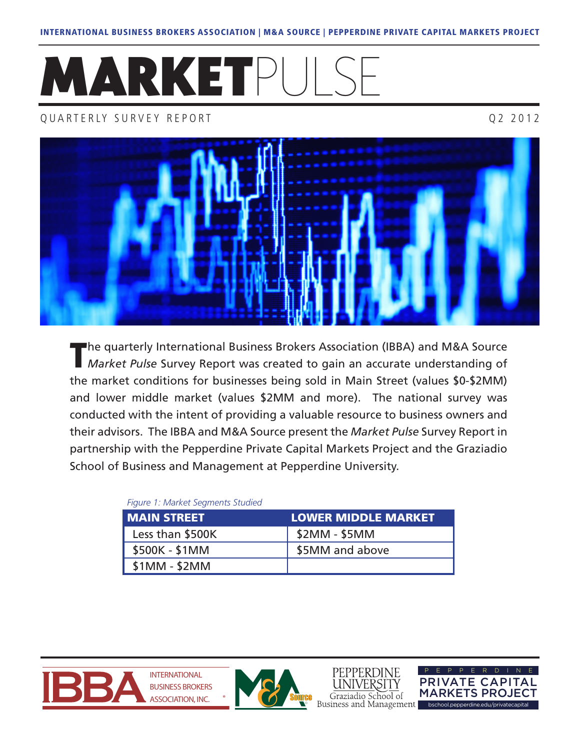# MARKETPUL

# QUARTERLY SURVEY REPORT QUARTERLY SURVEY REPORT



The quarterly International Business Brokers Association (IBBA) and M&A Source<br>*Market Pulse* Survey Report was created to gain an accurate understanding of the market conditions for businesses being sold in Main Street (values \$0-\$2MM) and lower middle market (values \$2MM and more). The national survey was conducted with the intent of providing a valuable resource to business owners and their advisors. The IBBA and M&A Source present the *Market Pulse* Survey Report in partnership with the Pepperdine Private Capital Markets Project and the Graziadio School of Business and Management at Pepperdine University.

# *Figure 1: Market Segments Studied*

| <b>MAIN STREET</b> | <b>LOWER MIDDLE MARKET</b> |
|--------------------|----------------------------|
| Less than \$500K   | $$2MM - $5MM$              |
| \$500K - \$1MM     | \$5MM and above            |
| $$1MM - $2MM$      |                            |





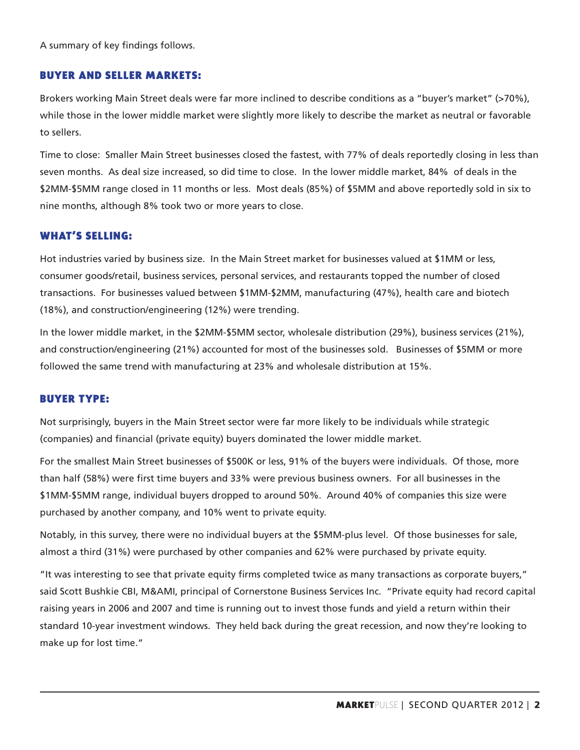A summary of key findings follows.

# BUYER AND SELLER MARKETS:

Brokers working Main Street deals were far more inclined to describe conditions as a "buyer's market" (>70%), while those in the lower middle market were slightly more likely to describe the market as neutral or favorable to sellers.

Time to close: Smaller Main Street businesses closed the fastest, with 77% of deals reportedly closing in less than seven months. As deal size increased, so did time to close. In the lower middle market, 84% of deals in the \$2MM-\$5MM range closed in 11 months or less. Most deals (85%) of \$5MM and above reportedly sold in six to nine months, although 8% took two or more years to close.

# WHAT'S SELLING:

Hot industries varied by business size. In the Main Street market for businesses valued at \$1MM or less, consumer goods/retail, business services, personal services, and restaurants topped the number of closed transactions. For businesses valued between \$1MM-\$2MM, manufacturing (47%), health care and biotech (18%), and construction/engineering (12%) were trending.

In the lower middle market, in the \$2MM-\$5MM sector, wholesale distribution (29%), business services (21%), and construction/engineering (21%) accounted for most of the businesses sold. Businesses of \$5MM or more followed the same trend with manufacturing at 23% and wholesale distribution at 15%.

# BUYER TYPE:

Not surprisingly, buyers in the Main Street sector were far more likely to be individuals while strategic (companies) and financial (private equity) buyers dominated the lower middle market.

For the smallest Main Street businesses of \$500K or less, 91% of the buyers were individuals. Of those, more than half (58%) were first time buyers and 33% were previous business owners. For all businesses in the \$1MM-\$5MM range, individual buyers dropped to around 50%. Around 40% of companies this size were purchased by another company, and 10% went to private equity.

Notably, in this survey, there were no individual buyers at the \$5MM-plus level. Of those businesses for sale, almost a third (31%) were purchased by other companies and 62% were purchased by private equity.

"It was interesting to see that private equity firms completed twice as many transactions as corporate buyers," said Scott Bushkie CBI, M&AMI, principal of Cornerstone Business Services Inc. "Private equity had record capital raising years in 2006 and 2007 and time is running out to invest those funds and yield a return within their standard 10-year investment windows. They held back during the great recession, and now they're looking to make up for lost time."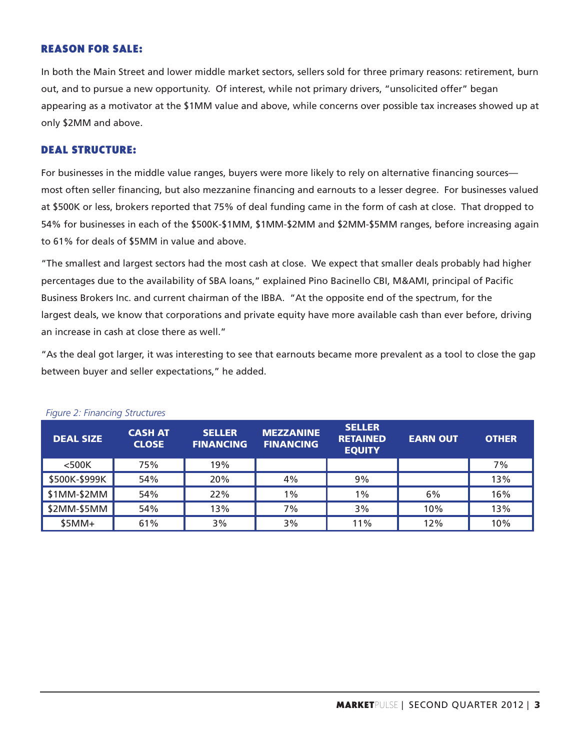# REASON FOR SALE:

In both the Main Street and lower middle market sectors, sellers sold for three primary reasons: retirement, burn out, and to pursue a new opportunity. Of interest, while not primary drivers, "unsolicited offer" began appearing as a motivator at the \$1MM value and above, while concerns over possible tax increases showed up at only \$2MM and above.

### DEAL STRUCTURE:

For businesses in the middle value ranges, buyers were more likely to rely on alternative financing sources most often seller financing, but also mezzanine financing and earnouts to a lesser degree. For businesses valued at \$500K or less, brokers reported that 75% of deal funding came in the form of cash at close. That dropped to 54% for businesses in each of the \$500K-\$1MM, \$1MM-\$2MM and \$2MM-\$5MM ranges, before increasing again to 61% for deals of \$5MM in value and above.

"The smallest and largest sectors had the most cash at close. We expect that smaller deals probably had higher percentages due to the availability of SBA loans," explained Pino Bacinello CBI, M&AMI, principal of Pacific Business Brokers Inc. and current chairman of the IBBA. "At the opposite end of the spectrum, for the largest deals, we know that corporations and private equity have more available cash than ever before, driving an increase in cash at close there as well."

"As the deal got larger, it was interesting to see that earnouts became more prevalent as a tool to close the gap between buyer and seller expectations," he added.

| <b>DEAL SIZE</b> | <b>CASH AT</b><br><b>CLOSE</b> | <b>SELLER</b><br><b>FINANCING</b> | <b>MEZZANINE</b><br><b>FINANCING</b> | <b>SELLER</b><br><b>RETAINED</b><br><b>EQUITY</b> | <b>EARN OUT</b> | <b>OTHER</b> |
|------------------|--------------------------------|-----------------------------------|--------------------------------------|---------------------------------------------------|-----------------|--------------|
| $<$ 500 $K$      | 75%                            | 19%                               |                                      |                                                   |                 | 7%           |
| \$500K-\$999K    | 54%                            | 20%                               | 4%                                   | 9%                                                |                 | 13%          |
| \$1MM-\$2MM      | 54%                            | 22%                               | $1\%$                                | $1\%$                                             | 6%              | 16%          |
| \$2MM-\$5MM      | 54%                            | 13%                               | 7%                                   | 3%                                                | 10%             | 13%          |
| $$5MM+$          | 61%                            | 3%                                | 3%                                   | 11%                                               | 12%             | 10%          |

#### *Figure 2: Financing Structures*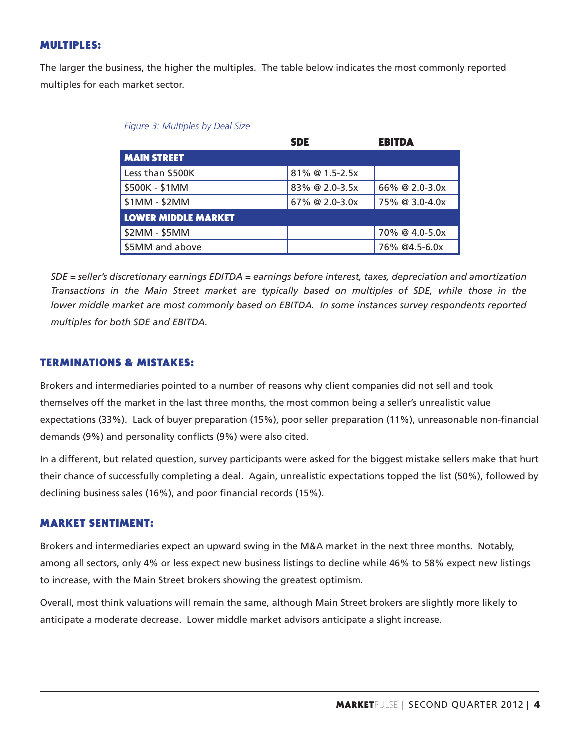# MULTIPLES:

The larger the business, the higher the multiples. The table below indicates the most commonly reported multiples for each market sector.

|                            | <b>SDE</b>        | <b>EBITDA</b>  |
|----------------------------|-------------------|----------------|
| <b>MAIN STREET</b>         |                   |                |
| Less than \$500K           | $81\%$ @ 1.5-2.5x |                |
| \$500K - \$1MM             | 83% @ 2.0-3.5x    | 66% @ 2.0-3.0x |
| \$1MM - \$2MM              | 67% @ 2.0-3.0x    | 75% @ 3.0-4.0x |
| <b>LOWER MIDDLE MARKET</b> |                   |                |
| \$2MM - \$5MM              |                   | 70% @ 4.0-5.0x |
| \$5MM and above            |                   | 76% @4.5-6.0x  |

| Figure 3: Multiples by Deal Size |  |  |  |  |  |
|----------------------------------|--|--|--|--|--|
|----------------------------------|--|--|--|--|--|

*SDE = seller's discretionary earnings EDITDA = earnings before interest, taxes, depreciation and amortization Transactions in the Main Street market are typically based on multiples of SDE, while those in the lower middle market are most commonly based on EBITDA. In some instances survey respondents reported multiples for both SDE and EBITDA.* 

# TERMINATIONS & MISTAKES:

Brokers and intermediaries pointed to a number of reasons why client companies did not sell and took themselves off the market in the last three months, the most common being a seller's unrealistic value expectations (33%). Lack of buyer preparation (15%), poor seller preparation (11%), unreasonable non-financial demands (9%) and personality conflicts (9%) were also cited.

In a different, but related question, survey participants were asked for the biggest mistake sellers make that hurt their chance of successfully completing a deal. Again, unrealistic expectations topped the list (50%), followed by declining business sales (16%), and poor financial records (15%).

# MARKET SENTIMENT:

Brokers and intermediaries expect an upward swing in the M&A market in the next three months. Notably, among all sectors, only 4% or less expect new business listings to decline while 46% to 58% expect new listings to increase, with the Main Street brokers showing the greatest optimism.

Overall, most think valuations will remain the same, although Main Street brokers are slightly more likely to anticipate a moderate decrease. Lower middle market advisors anticipate a slight increase.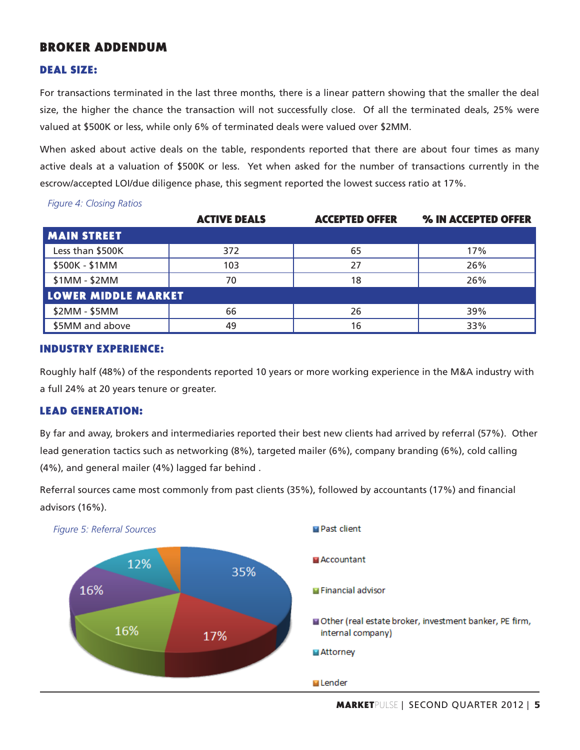# BROKER ADDENDUM

## DEAL SIZE:

For transactions terminated in the last three months, there is a linear pattern showing that the smaller the deal size, the higher the chance the transaction will not successfully close. Of all the terminated deals, 25% were valued at \$500K or less, while only 6% of terminated deals were valued over \$2MM.

When asked about active deals on the table, respondents reported that there are about four times as many active deals at a valuation of \$500K or less. Yet when asked for the number of transactions currently in the escrow/accepted LOI/due diligence phase, this segment reported the lowest success ratio at 17%.

|                            | <b>ACTIVE DEALS</b> | <b>ACCEPTED OFFER</b> | % IN ACCEPTED OFFER |
|----------------------------|---------------------|-----------------------|---------------------|
| <b>MAIN STREET</b>         |                     |                       |                     |
| Less than \$500K           | 372                 | 65                    | 17%                 |
| \$500K - \$1MM             | 103                 | 27                    | 26%                 |
| $$1MM - $2MM$              | 70                  | 18                    | 26%                 |
| <b>LOWER MIDDLE MARKET</b> |                     |                       |                     |
| \$2MM - \$5MM              | 66                  | 26                    | 39%                 |
| \$5MM and above            | 49                  | 16                    | 33%                 |

*Figure 4: Closing Ratios*

# INDUSTRY EXPERIENCE:

Roughly half (48%) of the respondents reported 10 years or more working experience in the M&A industry with a full 24% at 20 years tenure or greater.

#### LEAD GENERATION:

By far and away, brokers and intermediaries reported their best new clients had arrived by referral (57%). Other lead generation tactics such as networking (8%), targeted mailer (6%), company branding (6%), cold calling (4%), and general mailer (4%) lagged far behind .



Referral sources came most commonly from past clients (35%), followed by accountants (17%) and financial advisors (16%).